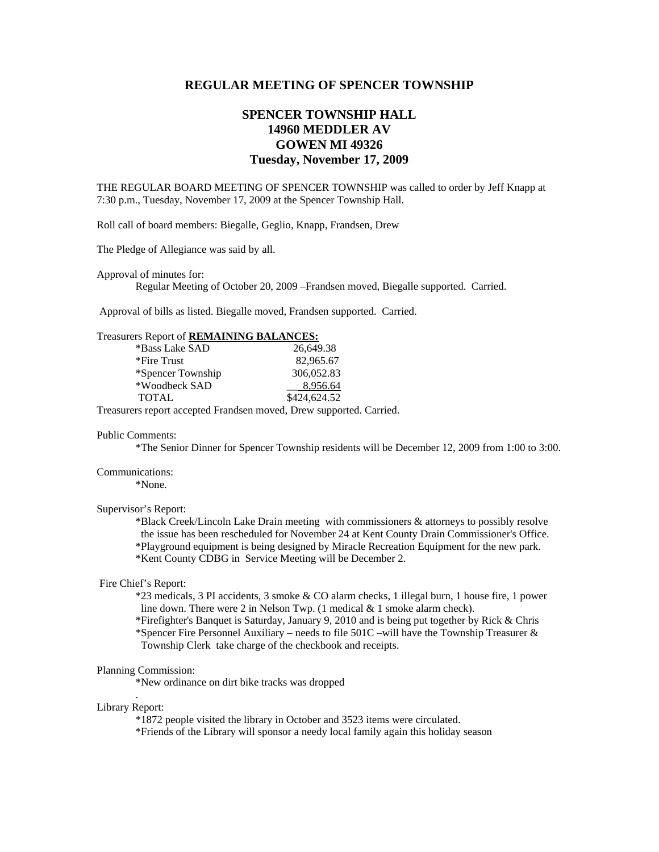## **REGULAR MEETING OF SPENCER TOWNSHIP**

# **SPENCER TOWNSHIP HALL 14960 MEDDLER AV GOWEN MI 49326 Tuesday, November 17, 2009**

THE REGULAR BOARD MEETING OF SPENCER TOWNSHIP was called to order by Jeff Knapp at 7:30 p.m., Tuesday, November 17, 2009 at the Spencer Township Hall.

Roll call of board members: Biegalle, Geglio, Knapp, Frandsen, Drew

The Pledge of Allegiance was said by all.

Approval of minutes for:

Regular Meeting of October 20, 2009 –Frandsen moved, Biegalle supported. Carried.

Approval of bills as listed. Biegalle moved, Frandsen supported. Carried.

## Treasurers Report of **REMAINING BALANCES:**

| *Bass Lake SAD    | 26.649.38    |
|-------------------|--------------|
| *Fire Trust       | 82,965.67    |
| *Spencer Township | 306,052.83   |
| *Woodbeck SAD     | 8.956.64     |
| <b>TOTAL</b>      | \$424,624.52 |

Treasurers report accepted Frandsen moved, Drew supported. Carried.

#### Public Comments:

\*The Senior Dinner for Spencer Township residents will be December 12, 2009 from 1:00 to 3:00.

#### Communications:

\*None.

## Supervisor's Report:

 \*Black Creek/Lincoln Lake Drain meeting with commissioners & attorneys to possibly resolve the issue has been rescheduled for November 24 at Kent County Drain Commissioner's Office. \*Playground equipment is being designed by Miracle Recreation Equipment for the new park. \*Kent County CDBG in Service Meeting will be December 2.

### Fire Chief's Report:

 \*23 medicals, 3 PI accidents, 3 smoke & CO alarm checks, 1 illegal burn, 1 house fire, 1 power line down. There were 2 in Nelson Twp. (1 medical & 1 smoke alarm check).

 \*Firefighter's Banquet is Saturday, January 9, 2010 and is being put together by Rick & Chris \*Spencer Fire Personnel Auxiliary – needs to file 501C –will have the Township Treasurer &

Township Clerk take charge of the checkbook and receipts.

#### Planning Commission:

.

\*New ordinance on dirt bike tracks was dropped

#### Library Report:

\*1872 people visited the library in October and 3523 items were circulated.

\*Friends of the Library will sponsor a needy local family again this holiday season